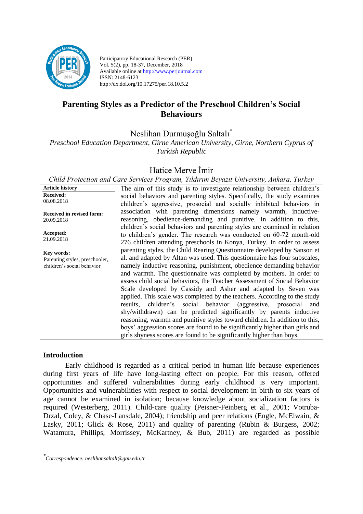

Participatory Educational Research (PER) Vol. 5(2), pp. 18-37, December, 2018 Available online at http://www.perjournal.com ISSN: 2148-6123 http://dx.doi.org/10.17275/per.18.10.5.2

# **Parenting Styles as a Predictor of the Preschool Children's Social Behaviours**

Neslihan Durmuşoğlu Saltalı\*

*Preschool Education Department, Girne American University, Girne, Northern Cyprus of Turkish Republic*

# Hatice Merve İmir

|                                                              | Child Protection and Care Services Program, Yildirim Beyazit University, Ankara, Turkey                                                                                                                                                                                                                                                                                                                                                                                                                                                                                                                                                                                                                                                                                                                                             |
|--------------------------------------------------------------|-------------------------------------------------------------------------------------------------------------------------------------------------------------------------------------------------------------------------------------------------------------------------------------------------------------------------------------------------------------------------------------------------------------------------------------------------------------------------------------------------------------------------------------------------------------------------------------------------------------------------------------------------------------------------------------------------------------------------------------------------------------------------------------------------------------------------------------|
| <b>Article history</b>                                       | The aim of this study is to investigate relationship between children's                                                                                                                                                                                                                                                                                                                                                                                                                                                                                                                                                                                                                                                                                                                                                             |
| <b>Received:</b><br>08.08.2018                               | social behaviors and parenting styles. Specifically, the study examines<br>children's aggressive, prosocial and socially inhibited behaviors in                                                                                                                                                                                                                                                                                                                                                                                                                                                                                                                                                                                                                                                                                     |
| Received in revised form:<br>20.09.2018                      | association with parenting dimensions namely warmth, inductive-<br>reasoning, obedience-demanding and punitive. In addition to this,<br>children's social behaviors and parenting styles are examined in relation                                                                                                                                                                                                                                                                                                                                                                                                                                                                                                                                                                                                                   |
| Accepted:<br>21.09.2018                                      | to children's gender. The research was conducted on 60-72 month-old<br>276 children attending preschools in Konya, Turkey. In order to assess                                                                                                                                                                                                                                                                                                                                                                                                                                                                                                                                                                                                                                                                                       |
| Key words:                                                   | parenting styles, the Child Rearing Questionnaire developed by Sanson et                                                                                                                                                                                                                                                                                                                                                                                                                                                                                                                                                                                                                                                                                                                                                            |
| Parenting styles, preschooler,<br>children's social behavior | al. and adapted by Altan was used. This question aire has four subscales,<br>namely inductive reasoning, punishment, obedience demanding behavior<br>and warmth. The questionnaire was completed by mothers. In order to<br>assess child social behaviors, the Teacher Assessment of Social Behavior<br>Scale developed by Cassidy and Asher and adapted by Seven was<br>applied. This scale was completed by the teachers. According to the study<br>results, children's social behavior (aggressive, prosocial<br>and<br>shy/withdrawn) can be predicted significantly by parents inductive<br>reasoning, warmth and punitive styles toward children. In addition to this,<br>boys' aggression scores are found to be significantly higher than girls and<br>girls shyness scores are found to be significantly higher than boys. |

#### **Introduction**

<u>.</u>

Early childhood is regarded as a critical period in human life because experiences during first years of life have long-lasting effect on people. For this reason, offered opportunities and suffered vulnerabilities during early childhood is very important. Opportunities and vulnerabilities with respect to social development in birth to six years of age cannot be examined in isolation; because knowledge about socialization factors is required (Westerberg, 2011). Child-care quality (Peisner-Feinberg et al., 2001; Votruba-Drzal, Coley, & Chase-Lansdale, 2004); friendship and peer relations (Engle, McElwain, & Lasky, 2011; Glick & Rose, 2011) and quality of parenting (Rubin & Burgess, 2002; Watamura, Phillips, Morrissey, McKartney, & Bub, 2011) are regarded as possible

*<sup>\*</sup> Correspondence: neslihansaltali@gau.edu.tr*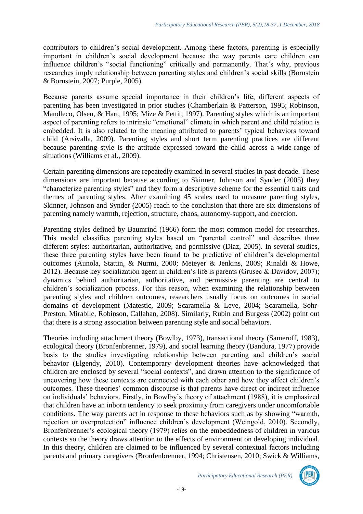contributors to children's social development. Among these factors, parenting is especially important in children's social development because the way parents care children can influence children's "social functioning" critically and permanently. That's why, previous researches imply relationship between parenting styles and children's social skills (Bornstein & Bornstein, 2007; Purple, 2005).

Because parents assume special importance in their children's life, different aspects of parenting has been investigated in prior studies (Chamberlain & Patterson, 1995; Robinson, Mandleco, Olsen, & Hart, 1995; Mize & Pettit, 1997). Parenting styles which is an important aspect of parenting refers to intrinsic "emotional" climate in which parent and child relation is embedded. It is also related to the meaning attributed to parents' typical behaviors toward child (Arsivalla, 2009). Parenting styles and short term parenting practices are different because parenting style is the attitude expressed toward the child across a wide-range of situations (Williams et al., 2009).

Certain parenting dimensions are repeatedly examined in several studies in past decade. These dimensions are important because according to Skinner, Johnson and Synder (2005) they "characterize parenting styles" and they form a descriptive scheme for the essential traits and themes of parenting styles. After examining 45 scales used to measure parenting styles, Skinner, Johnson and Synder (2005) reach to the conclusion that there are six dimensions of parenting namely warmth, rejection, structure, chaos, autonomy-support, and coercion.

Parenting styles defined by Baumrind (1966) form the most common model for researches. This model classifies parenting styles based on "parental control" and describes three different styles: authoritarian, authoritative, and permissive (Diaz, 2005). In several studies, these three parenting styles have been found to be predictive of children's developmental outcomes (Aunola, Stattin, & Nurmi, 2000; Meteyer & Jenkins, 2009; Rinaldi & Howe, 2012). Because key socialization agent in children's life is parents (Grusec & Davidov, 2007); dynamics behind authoritarian, authoritative, and permissive parenting are central to children's socialization process. For this reason, when examining the relationship between parenting styles and children outcomes, researchers usually focus on outcomes in social domains of development (Matestic, 2009; Scaramella & Leve, 2004; Scaramella, Sohr-Preston, Mirabile, Robinson, Callahan, 2008). Similarly, Rubin and Burgess (2002) point out that there is a strong association between parenting style and social behaviors.

Theories including attachment theory (Bowlby, 1973), transactional theory (Sameroff, 1983), ecological theory (Bronfenbrenner, 1979), and social learning theory (Bandura, 1977) provide basis to the studies investigating relationship between parenting and children's social behavior (Elgendy, 2010). Contemporary development theories have acknowledged that children are enclosed by several "social contexts", and drawn attention to the significance of uncovering how these contexts are connected with each other and how they affect children's outcomes. These theories' common discourse is that parents have direct or indirect influence on individuals' behaviors. Firstly, in Bowlby's theory of attachment (1988), it is emphasized that children have an inborn tendency to seek proximity from caregivers under uncomfortable conditions. The way parents act in response to these behaviors such as by showing "warmth, rejection or overprotection" influence children's development (Weingold, 2010). Secondly, Bronfenbrenner's ecological theory (1979) relies on the embeddedness of children in various contexts so the theory draws attention to the effects of environment on developing individual. In this theory, children are claimed to be influenced by several contextual factors including parents and primary caregivers (Bronfenbrenner, 1994; Christensen, 2010; Swick & Williams,

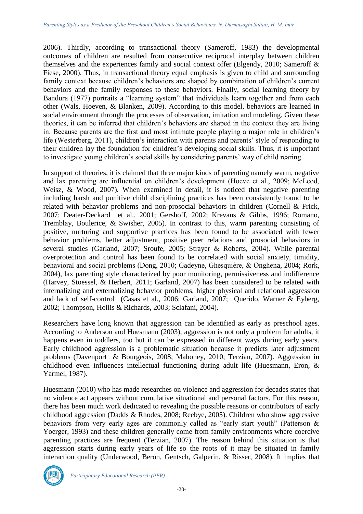2006). Thirdly, according to transactional theory (Sameroff, 1983) the developmental outcomes of children are resulted from consecutive reciprocal interplay between children themselves and the experiences family and social context offer (Elgendy, 2010; Sameroff & Fiese, 2000). Thus, in transactional theory equal emphasis is given to child and surrounding family context because children's behaviors are shaped by combination of children's current behaviors and the family responses to these behaviors. Finally, social learning theory by Bandura (1977) portraits a "learning system" that individuals learn together and from each other (Wals, Hoeven, & Blanken, 2009). According to this model, behaviors are learned in social environment through the processes of observation, imitation and modeling. Given these theories, it can be inferred that children's behaviors are shaped in the context they are living in. Because parents are the first and most intimate people playing a major role in children's life (Westerberg, 2011), children's interaction with parents and parents' style of responding to their children lay the foundation for children's developing social skills. Thus, it is important to investigate young children's social skills by considering parents' way of child rearing.

In support of theories, it is claimed that three major kinds of parenting namely warm, negative and lax parenting are influential on children's development (Hoeve et al., 2009; McLeod, Weisz, & Wood, 2007). When examined in detail, it is noticed that negative parenting including harsh and punitive child disciplining practices has been consistently found to be related with behavior problems and non-prosocial behaviors in children (Cornell & Frick, 2007; Deater-Deckard et al., 2001; Gershoff, 2002; Krevans & Gibbs, 1996; Romano, Tremblay, Boulerice, & Swisher, 2005). In contrast to this, warm parenting consisting of positive, nurturing and supportive practices has been found to be associated with fewer behavior problems, better adjustment, positive peer relations and prosocial behaviors in several studies (Garland, 2007; Sroufe, 2005; Strayer & Roberts, 2004). While parental overprotection and control has been found to be correlated with social anxiety, timidity, behavioral and social problems (Dong, 2010; Gadeyne, Ghesquière, & Onghena, 2004; Rork, 2004), lax parenting style characterized by poor monitoring, permissiveness and indifference (Harvey, Stoessel, & Herbert, 2011; Garland, 2007) has been considered to be related with internalizing and externalizing behavior problems, higher physical and relational aggression and lack of self-control (Casas et al., 2006; Garland, 2007; Querido, Warner & Eyberg, 2002; Thompson, Hollis & Richards, 2003; Sclafani, 2004).

Researchers have long known that aggression can be identified as early as preschool ages. According to Anderson and Huesmann (2003), aggression is not only a problem for adults, it happens even in toddlers, too but it can be expressed in different ways during early years. Early childhood aggression is a problematic situation because it predicts later adjustment problems (Davenport & Bourgeois, 2008; Mahoney, 2010; Terzian, 2007). Aggression in childhood even influences intellectual functioning during adult life (Huesmann, Eron, & Yarmel, 1987).

Huesmann (2010) who has made researches on violence and aggression for decades states that no violence act appears without cumulative situational and personal factors. For this reason, there has been much work dedicated to revealing the possible reasons or contributors of early childhood aggression (Dadds & Rhodes, 2008; Reebye, 2005). Children who show aggressive behaviors from very early ages are commonly called as "early start youth" (Patterson & Yoerger, 1993) and these children generally come from family environments where coercive parenting practices are frequent (Terzian, 2007). The reason behind this situation is that aggression starts during early years of life so the roots of it may be situated in family interaction quality (Underwood, Beron, Gentsch, Galperin, & Risser, 2008). It implies that

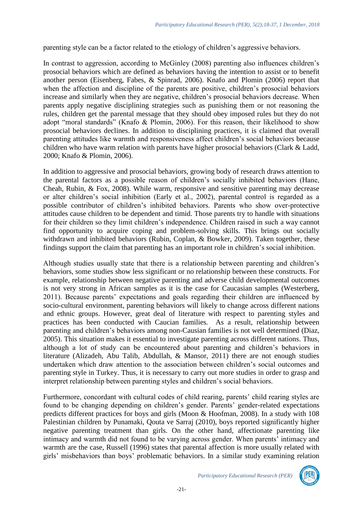parenting style can be a factor related to the etiology of children's aggressive behaviors.

In contrast to aggression, according to McGinley (2008) parenting also influences children's prosocial behaviors which are defined as behaviors having the intention to assist or to benefit another person (Eisenberg, Fabes, & Spinrad, 2006). Knafo and Plomin (2006) report that when the affection and discipline of the parents are positive, children's prosocial behaviors increase and similarly when they are negative, children's prosocial behaviors decrease. When parents apply negative disciplining strategies such as punishing them or not reasoning the rules, children get the parental message that they should obey imposed rules but they do not adopt "moral standards" (Knafo & Plomin, 2006). For this reason, their likelihood to show prosocial behaviors declines. In addition to disciplining practices, it is claimed that overall parenting attitudes like warmth and responsiveness affect children's social behaviors because children who have warm relation with parents have higher prosocial behaviors (Clark & Ladd, 2000; Knafo & Plomin, 2006).

In addition to aggressive and prosocial behaviors, growing body of research draws attention to the parental factors as a possible reason of children's socially inhibited behaviors (Hane, Cheah, Rubin, & Fox, 2008). While warm, responsive and sensitive parenting may decrease or alter children's social inhibition (Early et al., 2002), parental control is regarded as a possible contributor of children's inhibited behaviors. Parents who show over-protective attitudes cause children to be dependent and timid. Those parents try to handle with situations for their children so they limit children's independence. Children raised in such a way cannot find opportunity to acquire coping and problem-solving skills. This brings out socially withdrawn and inhibited behaviors (Rubin, Coplan, & Bowker, 2009). Taken together, these findings support the claim that parenting has an important role in children's social inhibition.

Although studies usually state that there is a relationship between parenting and children's behaviors, some studies show less significant or no relationship between these constructs. For example, relationship between negative parenting and adverse child developmental outcomes is not very strong in African samples as it is the case for Caucasian samples (Westerberg, 2011). Because parents' expectations and goals regarding their children are influenced by socio-cultural environment, parenting behaviors will likely to change across different nations and ethnic groups. However, great deal of literature with respect to parenting styles and practices has been conducted with Caucian families. As a result, relationship between parenting and children's behaviors among non-Causian families is not well determined (Diaz, 2005). This situation makes it essential to investigate parenting across different nations. Thus, although a lot of study can be encountered about parenting and children's behaviors in literature (Alizadeh, Abu Talib, Abdullah, & Mansor, 2011) there are not enough studies undertaken which draw attention to the association between children's social outcomes and parenting style in Turkey. Thus, it is necessary to carry out more studies in order to grasp and interpret relationship between parenting styles and children's social behaviors.

Furthermore, concordant with cultural codes of child rearing, parents' child rearing styles are found to be changing depending on children's gender. Parents' gender-related expectations predicts different practices for boys and girls (Moon & Hoofman, 2008). In a study with 108 Palestinian children by Punamaki, Qouta ve Sarraj (2010), boys reported significantly higher negative parenting treatment than girls. On the other hand, affectionate parenting like intimacy and warmth did not found to be varying across gender. When parents' intimacy and warmth are the case, Russell (1996) states that parental affection is more usually related with girls' misbehaviors than boys' problematic behaviors. In a similar study examining relation

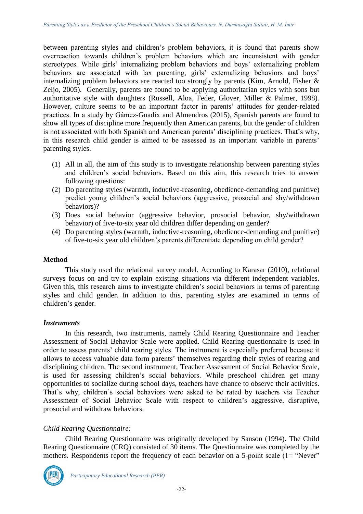between parenting styles and children's problem behaviors, it is found that parents show overreaction towards children's problem behaviors which are inconsistent with gender stereotypes. While girls' internalizing problem behaviors and boys' externalizing problem behaviors are associated with lax parenting, girls' externalizing behaviors and boys' internalizing problem behaviors are reacted too strongly by parents (Kim, Arnold, Fisher & Zeljo, 2005). Generally, parents are found to be applying authoritarian styles with sons but authoritative style with daughters (Russell, Aloa, Feder, Glover, Miller & Palmer, 1998). However, culture seems to be an important factor in parents' attitudes for gender-related practices. In a study by Gámez-Guadix and Almendros (2015), Spanish parents are found to show all types of discipline more frequently than American parents, but the gender of children is not associated with both Spanish and American parents' disciplining practices. That's why, in this research child gender is aimed to be assessed as an important variable in parents' parenting styles.

- (1) All in all, the aim of this study is to investigate relationship between parenting styles and children's social behaviors. Based on this aim, this research tries to answer following questions:
- (2) Do parenting styles (warmth, inductive-reasoning, obedience-demanding and punitive) predict young children's social behaviors (aggressive, prosocial and shy/withdrawn behaviors)?
- (3) Does social behavior (aggressive behavior, prosocial behavior, shy/withdrawn behavior) of five-to-six year old children differ depending on gender?
- (4) Do parenting styles (warmth, inductive-reasoning, obedience-demanding and punitive) of five-to-six year old children's parents differentiate depending on child gender?

## **Method**

This study used the relational survey model. According to Karasar (2010), relational surveys focus on and try to explain existing situations via different independent variables. Given this, this research aims to investigate children's social behaviors in terms of parenting styles and child gender. In addition to this, parenting styles are examined in terms of children's gender.

## *Instruments*

In this research, two instruments, namely Child Rearing Questionnaire and Teacher Assessment of Social Behavior Scale were applied. Child Rearing questionnaire is used in order to assess parents' child rearing styles. The instrument is especially preferred because it allows to access valuable data form parents' themselves regarding their styles of rearing and disciplining children. The second instrument, Teacher Assessment of Social Behavior Scale, is used for assessing children's social behaviors. While preschool children get many opportunities to socialize during school days, teachers have chance to observe their activities. That's why, children's social behaviors were asked to be rated by teachers via Teacher Assessment of Social Behavior Scale with respect to children's aggressive, disruptive, prosocial and withdraw behaviors.

## *Child Rearing Questionnaire:*

Child Rearing Questionnaire was originally developed by Sanson (1994). The Child Rearing Questionnaire (CRQ) consisted of 30 items. The Questionnaire was completed by the mothers. Respondents report the frequency of each behavior on a 5-point scale (1= "Never"

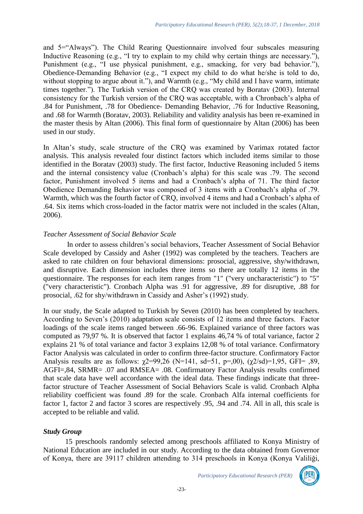and 5="Always"). The Child Rearing Questionnaire involved four subscales measuring Inductive Reasoning (e.g., "I try to explain to my child why certain things are necessary."), Punishment (e.g., "I use physical punishment, e.g., smacking, for very bad behavior."), Obedience-Demanding Behavior (e.g., "I expect my child to do what he/she is told to do, without stopping to argue about it."), and Warmth (e.g., "My child and I have warm, intimate times together."). The Turkish version of the CRQ was created by Boratav (2003). Internal consistency for the Turkish version of the CRQ was acceptable, with a Chronbach's alpha of .84 for Punishment, .78 for Obedience- Demanding Behavior, .76 for Inductive Reasoning, and .68 for Warmth (Boratav, 2003). Reliability and validity analysis has been re-examined in the master thesis by Altan (2006). This final form of questionnaire by Altan (2006) has been used in our study.

In Altan's study, scale structure of the CRQ was examined by Varimax rotated factor analysis. This analysis revealed four distinct factors which included items similar to those identified in the Boratav (2003) study. The first factor, Inductive Reasoning included 5 items and the internal consistency value (Cronbach's alpha) for this scale was .79. The second factor, Punishment involved 5 items and had a Cronbach's alpha of 71. The third factor Obedience Demanding Behavior was composed of 3 items with a Cronbach's alpha of .79. Warmth, which was the fourth factor of CRQ, involved 4 items and had a Cronbach's alpha of .64. Six items which cross-loaded in the factor matrix were not included in the scales (Altan, 2006).

### *Teacher Assessment of Social Behavior Scale*

In order to assess children's social behaviors, Teacher Assessment of Social Behavior Scale developed by Cassidy and Asher (1992) was completed by the teachers. Teachers are asked to rate children on four behavioral dimensions: prosocial, aggressive, shy/withdrawn, and disruptive. Each dimension includes three items so there are totally 12 items in the questionnaire. The responses for each item ranges from "1" ("very uncharacteristic") to "5" ("very characteristic"). Cronbach Alpha was .91 for aggressive, .89 for disruptive, .88 for prosocial, .62 for shy/withdrawn in Cassidy and Asher's (1992) study.

In our study, the Scale adapted to Turkish by Seven (2010) has been completed by teachers. According to Seven's (2010) adaptation scale consists of 12 items and three factors. Factor loadings of the scale items ranged between .66-96. Explained variance of three factors was computed as 79,97 %. It is observed that factor 1 explains 46,74 % of total variance, factor 2 explains 21 % of total variance and factor 3 explains 12,08 % of total variance. Confirmatory Factor Analysis was calculated in order to confirm three-factor structure. Confirmatory Factor Analysis results are as follows:  $\gamma$ 2=99,26 (N=141, sd=51, p=,00),  $(\gamma$ 2/sd)=1,95, GFI= ,89, AGFI=,84, SRMR= .07 and RMSEA= .08. Confirmatory Factor Analysis results confirmed that scale data have well accordance with the ideal data. These findings indicate that threefactor structure of Teacher Assessment of Social Behaviors Scale is valid. Cronbach Alpha reliability coefficient was found .89 for the scale. Cronbach Alfa internal coefficients for factor 1, factor 2 and factor 3 scores are respectively .95, .94 and .74. All in all, this scale is accepted to be reliable and valid.

#### *Study Group*

15 preschools randomly selected among preschools affiliated to Konya Ministry of National Education are included in our study. According to the data obtained from Governor of Konya, there are 39117 children attending to 314 preschools in Konya (Konya Valiliği,

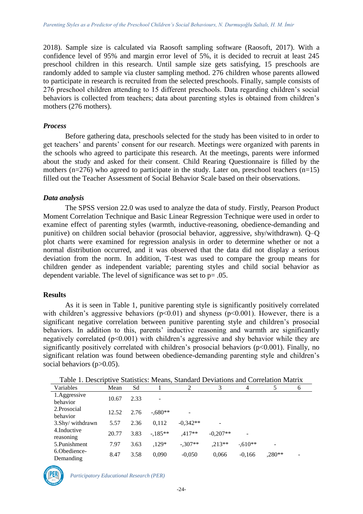2018). Sample size is calculated via Raosoft sampling software (Raosoft, 2017). With a confidence level of 95% and margin error level of 5%, it is decided to recruit at least 245 preschool children in this research. Until sample size gets satisfying, 15 preschools are randomly added to sample via cluster sampling method. 276 children whose parents allowed to participate in research is recruited from the selected preschools. Finally, sample consists of 276 preschool children attending to 15 different preschools. Data regarding children's social behaviors is collected from teachers; data about parenting styles is obtained from children's mothers (276 mothers).

#### *Process*

Before gathering data, preschools selected for the study has been visited to in order to get teachers' and parents' consent for our research. Meetings were organized with parents in the schools who agreed to participate this research. At the meetings, parents were informed about the study and asked for their consent. Child Rearing Questionnaire is filled by the mothers ( $n=276$ ) who agreed to participate in the study. Later on, preschool teachers ( $n=15$ ) filled out the Teacher Assessment of Social Behavior Scale based on their observations.

#### *Data analysis*

The SPSS version 22.0 was used to analyze the data of study. Firstly, Pearson Product Moment Correlation Technique and Basic Linear Regression Technique were used in order to examine effect of parenting styles (warmth, inductive-reasoning, obedience-demanding and punitive) on children social behavior (prosocial behavior, aggressive, shy/withdrawn). Q–Q plot charts were examined for regression analysis in order to determine whether or not a normal distribution occurred, and it was observed that the data did not display a serious deviation from the norm. In addition, T-test was used to compare the group means for children gender as independent variable; parenting styles and child social behavior as dependent variable. The level of significance was set to p= .05.

#### **Results**

As it is seen in Table 1, punitive parenting style is significantly positively correlated with children's aggressive behaviors ( $p<0.01$ ) and shyness ( $p<0.001$ ). However, there is a significant negative correlation between punitive parenting style and children's prosocial behaviors. In addition to this, parents' inductive reasoning and warmth are significantly negatively correlated (p<0.001) with children's aggressive and shy behavior while they are significantly positively correlated with children's prosocial behaviors ( $p<0.001$ ). Finally, no significant relation was found between obedience-demanding parenting style and children's social behaviors (p>0.05).

| Variables                  | Mean  | Sd   |                | 2          | 3          | 4                        | 5                        | 6 |
|----------------------------|-------|------|----------------|------------|------------|--------------------------|--------------------------|---|
| 1. Aggressive<br>behavior  | 10.67 | 2.33 | $\blacksquare$ |            |            |                          |                          |   |
| 2. Prosocial<br>behavior   | 12.52 | 2.76 | $-.680**$      |            |            |                          |                          |   |
| 3.Shy/withdrawn            | 5.57  | 2.36 | 0.112          | $-0.342**$ |            |                          |                          |   |
| 4. Inductive<br>reasoning  | 20.77 | 3.83 | $-185**$       | $.417**$   | $-0.207**$ | $\overline{\phantom{a}}$ |                          |   |
| 5. Punishment              | 7.97  | 3.63 | $.129*$        | $-.307**$  | $.213**$   | $-610**$                 | $\overline{\phantom{a}}$ |   |
| 6. Obedience-<br>Demanding | 8.47  | 3.58 | 0.090          | $-0.050$   | 0,066      | $-0.166$                 | ,280**                   |   |

Table 1. Descriptive Statistics: Means, Standard Deviations and Correlation Matrix

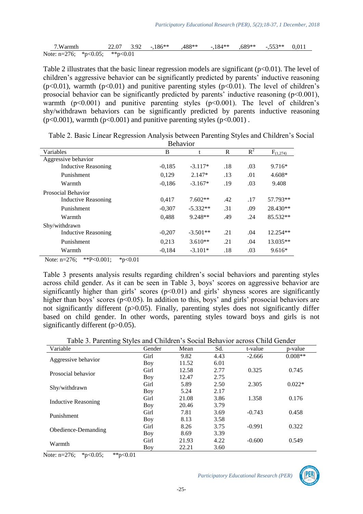| 7.Warmth                                 |  |  | $22.07$ $3.92$ $-186**$ $488**$ $-184**$ $689**$ $-553**$ $0.011$ |  |  |  |
|------------------------------------------|--|--|-------------------------------------------------------------------|--|--|--|
| Note: $n=276$ ; * $p<0.05$ ; ** $p<0.01$ |  |  |                                                                   |  |  |  |

Table 2 illustrates that the basic linear regression models are significant  $(p<0.01)$ . The level of children's aggressive behavior can be significantly predicted by parents' inductive reasoning ( $p<0.01$ ), warmth ( $p<0.01$ ) and punitive parenting styles ( $p<0.01$ ). The level of children's prosocial behavior can be significantly predicted by parents' inductive reasoning  $(p<0.001)$ , warmth  $(p<0.001)$  and punitive parenting styles  $(p<0.001)$ . The level of children's shy/withdrawn behaviors can be significantly predicted by parents inductive reasoning  $(p<0.001)$ , warmth  $(p<0.001)$  and punitive parenting styles  $(p<0.001)$ .

|                     | DURIAVIOI |            |     |       |                            |  |  |
|---------------------|-----------|------------|-----|-------|----------------------------|--|--|
| Variables           | B         | t          | R   | $R^2$ | $F_{(\underline{1}, 274)}$ |  |  |
| Aggressive behavior |           |            |     |       |                            |  |  |
| Inductive Reasoning | $-0.185$  | $-3.117*$  | .18 | .03   | $9.716*$                   |  |  |
| Punishment          | 0,129     | $2.147*$   | .13 | .01   | $4.608*$                   |  |  |
| Warmth              | $-0.186$  | $-3.167*$  | .19 | .03   | 9.408                      |  |  |
| Prosocial Behavior  |           |            |     |       |                            |  |  |
| Inductive Reasoning | 0.417     | $7.602**$  | .42 | .17   | 57.793**                   |  |  |
| Punishment          | $-0.307$  | $-5.332**$ | .31 | .09   | 28.430**                   |  |  |
| Warmth              | 0.488     | $9.248**$  | .49 | .24   | 85.532**                   |  |  |
| Shy/withdrawn       |           |            |     |       |                            |  |  |
| Inductive Reasoning | $-0,207$  | $-3.501**$ | .21 | .04   | $12.254**$                 |  |  |
| Punishment          | 0,213     | $3.610**$  | .21 | .04   | 13.035**                   |  |  |
| Warmth              | $-0.184$  | $-3.101*$  | .18 | .03   | $9.616*$                   |  |  |

Table 2. Basic Linear Regression Analysis between Parenting Styles and Children's Social Behavior

Note: n=276; \*\*P<0.001; \*p<0.01

Table 3 presents analysis results regarding children's social behaviors and parenting styles across child gender. As it can be seen in Table 3, boys' scores on aggressive behavior are significantly higher than girls' scores  $(p<0.01)$  and girls' shyness scores are significantly higher than boys' scores ( $p<0.05$ ). In addition to this, boys' and girls' prosocial behaviors are not significantly different (p>0.05). Finally, parenting styles does not significantly differ based on child gender. In other words, parenting styles toward boys and girls is not significantly different (p>0.05).

| Variable            | Gender | Mean  | Sd.  | t-value  | p-value   |
|---------------------|--------|-------|------|----------|-----------|
|                     | Girl   | 9.82  | 4.43 | $-2.666$ | $0.008**$ |
| Aggressive behavior | Boy    | 11.52 | 6.01 |          |           |
| Prosocial behavior  | Girl   | 12.58 | 2.77 | 0.325    | 0.745     |
|                     | Boy    | 12.47 | 2.75 |          |           |
|                     | Girl   | 5.89  | 2.50 | 2.305    | $0.022*$  |
| Shy/withdrawn       | Boy    | 5.24  | 2.17 |          |           |
|                     | Girl   | 21.08 | 3.86 | 1.358    | 0.176     |
| Inductive Reasoning | Boy    | 20.46 | 3.79 |          |           |
| Punishment          | Girl   | 7.81  | 3.69 | $-0.743$ | 0.458     |
|                     | Boy    | 8.13  | 3.58 |          |           |
|                     | Girl   | 8.26  | 3.75 | $-0.991$ | 0.322     |
| Obedience-Demanding | Boy    | 8.69  | 3.39 |          |           |
|                     | Girl   | 21.93 | 4.22 | $-0.600$ | 0.549     |
| Warmth              | Boy    | 22.21 | 3.60 |          |           |

Note: n=276; \*p<0.05; \*\*p<0.01

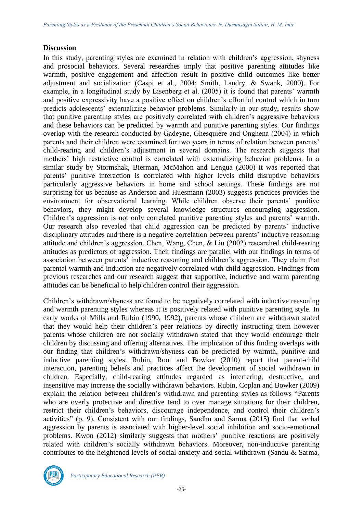## **Discussion**

In this study, parenting styles are examined in relation with children's aggression, shyness and prosocial behaviors. Several researches imply that positive parenting attitudes like warmth, positive engagement and affection result in positive child outcomes like better adjustment and socialization (Caspi et al., 2004; Smith, Landry, & Swank, 2000). For example, in a longitudinal study by Eisenberg et al. (2005) it is found that parents' warmth and positive expressivity have a positive effect on children's effortful control which in turn predicts adolescents' externalizing behavior problems. Similarly in our study, results show that punitive parenting styles are positively correlated with children's aggressive behaviors and these behaviors can be predicted by warmth and punitive parenting styles. Our findings overlap with the research conducted by Gadeyne, Ghesquière and Onghena (2004) in which parents and their children were examined for two years in terms of relation between parents' child-rearing and children's adjustment in several domains. The research suggests that mothers' high restrictive control is correlated with externalizing behavior problems. In a similar study by Stormshak, Bierman, McMahon and Lengua (2000) it was reported that parents' punitive interaction is correlated with higher levels child disruptive behaviors particularly aggressive behaviors in home and school settings. These findings are not surprising for us because as Anderson and Huesmann (2003) suggests practices provides the environment for observational learning. While children observe their parents' punitive behaviors, they might develop several knowledge structures encouraging aggression. Children's aggression is not only correlated punitive parenting styles and parents' warmth. Our research also revealed that child aggression can be predicted by parents' inductive disciplinary attitudes and there is a negative correlation between parents' inductive reasoning attitude and children's aggression. Chen, Wang, Chen, & Liu (2002) researched child-rearing attitudes as predictors of aggression. Their findings are parallel with our findings in terms of association between parents' inductive reasoning and children's aggression. They claim that parental warmth and induction are negatively correlated with child aggression. Findings from previous researches and our research suggest that supportive, inductive and warm parenting attitudes can be beneficial to help children control their aggression.

Children's withdrawn/shyness are found to be negatively correlated with inductive reasoning and warmth parenting styles whereas it is positively related with punitive parenting style. In early works of Mills and Rubin (1990, 1992), parents whose children are withdrawn stated that they would help their children's peer relations by directly instructing them however parents whose children are not socially withdrawn stated that they would encourage their children by discussing and offering alternatives. The implication of this finding overlaps with our finding that children's withdrawn/shyness can be predicted by warmth, punitive and inductive parenting styles. Rubin, Root and Bowker (2010) report that parent-child interaction, parenting beliefs and practices affect the development of social withdrawn in children. Especially, child-rearing attitudes regarded as interfering, destructive, and insensitive may increase the socially withdrawn behaviors. Rubin, Coplan and Bowker (2009) explain the relation between children's withdrawn and parenting styles as follows "Parents who are overly protective and directive tend to over manage situations for their children, restrict their children's behaviors, discourage independence, and control their children's activities" (p. 9). Consistent with our findings, Sandhu and Sarma (2015) find that verbal aggression by parents is associated with higher-level social inhibition and socio-emotional problems. Kwon (2012) similarly suggests that mothers' punitive reactions are positively related with children's socially withdrawn behaviors. Moreover, non-inductive parenting contributes to the heightened levels of social anxiety and social withdrawn (Sandu & Sarma,



*Participatory Educational Research (PER)*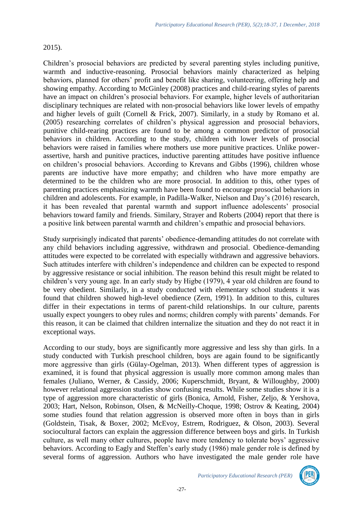## 2015).

Children's prosocial behaviors are predicted by several parenting styles including punitive, warmth and inductive-reasoning. Prosocial behaviors mainly characterized as helping behaviors, planned for others' profit and benefit like sharing, volunteering, offering help and showing empathy. According to McGinley (2008) practices and child-rearing styles of parents have an impact on children's prosocial behaviors. For example, higher levels of authoritarian disciplinary techniques are related with non-prosocial behaviors like lower levels of empathy and higher levels of guilt (Cornell & Frick, 2007). Similarly, in a study by Romano et al. (2005) researching correlates of children's physical aggression and prosocial behaviors, punitive child-rearing practices are found to be among a common predictor of prosocial behaviors in children. According to the study, children with lower levels of prosocial behaviors were raised in families where mothers use more punitive practices. Unlike powerassertive, harsh and punitive practices, inductive parenting attitudes have positive influence on children's prosocial behaviors. According to Krevans and Gibbs (1996), children whose parents are inductive have more empathy; and children who have more empathy are determined to be the children who are more prosocial. In addition to this, other types of parenting practices emphasizing warmth have been found to encourage prosocial behaviors in children and adolescents. For example, in Padilla-Walker, Nielson and Day's (2016) research, it has been revealed that parental warmth and support influence adolescents' prosocial behaviors toward family and friends. Similary, Strayer and Roberts (2004) report that there is a positive link between parental warmth and children's empathic and prosocial behaviors.

Study surprisingly indicated that parents' obedience-demanding attitudes do not correlate with any child behaviors including aggressive, withdrawn and prosocial. Obedience-demanding attitudes were expected to be correlated with especially withdrawn and aggressive behaviors. Such attitudes interfere with children's independence and children can be expected to respond by aggressive resistance or social inhibition. The reason behind this result might be related to children's very young age. In an early study by Higbe (1979), 4 year old children are found to be very obedient. Similarly, in a study conducted with elementary school students it was found that children showed high-level obedience (Zern, 1991). In addition to this, cultures differ in their expectations in terms of parent-child relationships. In our culture, parents usually expect youngers to obey rules and norms; children comply with parents' demands. For this reason, it can be claimed that children internalize the situation and they do not react it in exceptional ways.

According to our study, boys are significantly more aggressive and less shy than girls. In a study conducted with Turkish preschool children, boys are again found to be significantly more aggressive than girls (Gülay-Ogelman, 2013). When different types of aggression is examined, it is found that physical aggression is usually more common among males than females (Juliano, Werner, & Cassidy, 2006; Kuperschmidt, Bryant, & Willoughby, 2000) however relational aggression studies show confusing results. While some studies show it is a type of aggression more characteristic of girls (Bonica, Arnold, Fisher, Zeljo, & Yershova, 2003; Hart, Nelson, Robinson, Olsen, & McNeilly-Choque, 1998; Ostrov & Keating, 2004) some studies found that relation aggression is observed more often in boys than in girls (Goldstein, Tisak, & Boxer, 2002; McEvoy, Estrem, Rodriguez, & Olson, 2003). Several sociocultural factors can explain the aggression difference between boys and girls. In Turkish culture, as well many other cultures, people have more tendency to tolerate boys' aggressive behaviors. According to Eagly and Steffen's early study (1986) male gender role is defined by several forms of aggression. Authors who have investigated the male gender role have

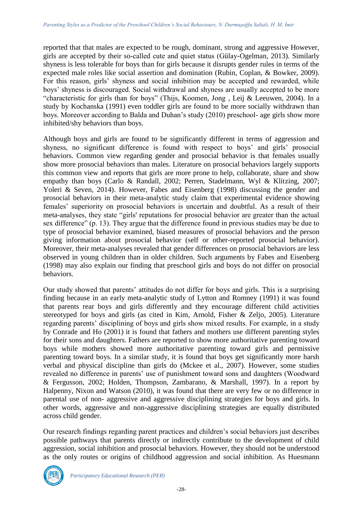reported that that males are expected to be rough, dominant, strong and aggressive However, girls are accepted by their so-called cute and quiet status (Gülay-Ogelman, 2013). Similarly shyness is less tolerable for boys than for girls because it disrupts gender rules in terms of the expected male roles like social assertion and domination (Rubin, Coplan, & Bowker, 2009). For this reason, girls' shyness and social inhibition may be accepted and rewarded, while boys' shyness is discouraged. Social withdrawal and shyness are usually accepted to be more "characteristic for girls than for boys" (Thijs, Koomen, Jong , Leij & Leeuwen, 2004). In a study by Kochanska (1991) even toddler girls are found to be more socially withdrawn than boys. Moreover according to Balda and Duhan's study (2010) preschool- age girls show more inhibited/shy behaviors than boys.

Although boys and girls are found to be significantly different in terms of aggression and shyness, no significant difference is found with respect to boys' and girls' prosocial behaviors. Common view regarding gender and prosocial behavior is that females usually show more prosocial behaviors than males. Literature on prosocial behaviors largely supports this common view and reports that girls are more prone to help, collaborate, share and show empathy than boys (Carlo & Randall, 2002; Perren, Stadelmann, Wyl & Klitzing, 2007; Yoleri & Seven, 2014). However, Fabes and Eisenberg (1998) discussing the gender and prosocial behaviors in their meta-analytic study claim that experimental evidence showing females' superiority on prosocial behaviors is uncertain and doubtful. As a result of their meta-analyses, they state "girls' reputations for prosocial behavior are greater than the actual sex difference" (p. 13). They argue that the difference found in previous studies may be due to type of prosocial behavior examined, biased measures of prosocial behaviors and the person giving information about prosocial behavior (self or other-reported prosocial behavior). Moreover, their meta-analyses revealed that gender differences on prosocial behaviors are less observed in young children than in older children. Such arguments by Fabes and Eisenberg (1998) may also explain our finding that preschool girls and boys do not differ on prosocial behaviors.

Our study showed that parents' attitudes do not differ for boys and girls. This is a surprising finding because in an early meta-analytic study of Lytton and Romney (1991) it was found that parents rear boys and girls differently and they encourage different child activities stereotyped for boys and girls (as cited in Kim, Arnold, Fisher & Zeljo, 2005). Literature regarding parents' disciplining of boys and girls show mixed results. For example, in a study by Conrade and Ho (2001) it is found that fathers and mothers use different parenting styles for their sons and daughters. Fathers are reported to show more authoritative parenting toward boys while mothers showed more authoritative parenting toward girls and permissive parenting toward boys. In a similar study, it is found that boys get significantly more harsh verbal and physical discipline than girls do (Mckee et al., 2007). However, some studies revealed no difference in parents' use of punishment toward sons and daughters (Woodward & Fergusson, 2002; Holden, Thompson, Zambarano, & Marshall, 1997). In a report by Halpenny, Nixon and Watson (2010), it was found that there are very few or no difference in parental use of non- aggressive and aggressive disciplining strategies for boys and girls. In other words, aggressive and non-aggressive disciplining strategies are equally distributed across child gender.

Our research findings regarding parent practices and children's social behaviors just describes possible pathways that parents directly or indirectly contribute to the development of child aggression, social inhibition and prosocial behaviors. However, they should not be understood as the only routes or origins of childhood aggression and social inhibition. As Huesmann

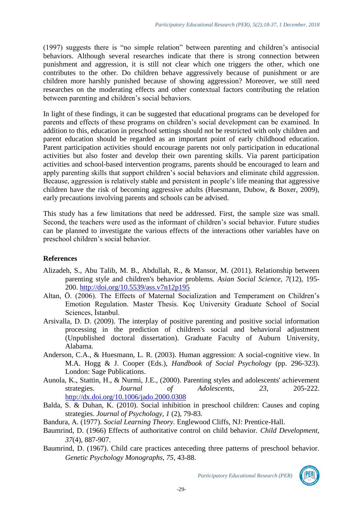(1997) suggests there is "no simple relation" between parenting and children's antisocial behaviors. Although several researches indicate that there is strong connection between punishment and aggression, it is still not clear which one triggers the other, which one contributes to the other. Do children behave aggressively because of punishment or are children more harshly punished because of showing aggression? Moreover, we still need researches on the moderating effects and other contextual factors contributing the relation between parenting and children's social behaviors.

In light of these findings, it can be suggested that educational programs can be developed for parents and effects of these programs on children's social development can be examined. In addition to this, education in preschool settings should not be restricted with only children and parent education should be regarded as an important point of early childhood education. Parent participation activities should encourage parents not only participation in educational activities but also foster and develop their own parenting skills. Via parent participation activities and school-based intervention programs, parents should be encouraged to learn and apply parenting skills that support children's social behaviors and eliminate child aggression. Because, aggression is relatively stable and persistent in people's life meaning that aggressive children have the risk of becoming aggressive adults (Huesmann, Dubow, & Boxer, 2009), early precautions involving parents and schools can be advised.

This study has a few limitations that need be addressed. First, the sample size was small. Second, the teachers were used as the informant of children's social behavior. Future studies can be planned to investigate the various effects of the interactions other variables have on preschool children's social behavior.

## **References**

- Alizadeh, S., Abu Talib, M. B., Abdullah, R., & Mansor, M. (2011). Relationship between parenting style and children's behavior problems. *Asian Social Science, 7*(12), 195- 200.<http://doi.org/10.5539/ass.v7n12p195>
- Altan, Ö. (2006). The Effects of Maternal Socialization and Temperament on Children's Emotion Regulation. Master Thesis. Koç University Graduate School of Social Sciences, İstanbul.
- Arsivalla, D. D. (2009). The interplay of positive parenting and positive social information processing in the prediction of children's social and behavioral adjustment (Unpublished doctoral dissertation). Graduate Faculty of Auburn University, Alabama.
- Anderson, C.A., & Huesmann, L. R. (2003). Human aggression: A social-cognitive view. In M.A. Hogg & J. Cooper (Eds.), *Handbook of Social Psychology* (pp. 296-323). London: Sage Publications.
- Aunola, K., Stattin, H., & Nurmi, J.E., (2000). Parenting styles and adolescents' achievement strategies. *Journal of Adolescents, 23,* 205-222. <http://dx.doi.org/10.1006/jado.2000.0308>
- Balda, S. & Duhan, K. (2010). Social inhibition in preschool children: Causes and coping strategies. *Journal of Psychology, 1* (2), 79-83.
- Bandura, A. (1977). *Social Learning Theory.* Englewood Cliffs, NJ: Prentice-Hall.
- Baumrind, D. (1966) Effects of authoritative control on child behavior. *Child Development, 37*(4), 887-907.
- Baumrind, D. (1967). Child care practices anteceding three patterns of preschool behavior. *Genetic Psychology Monographs, 75*, 43-88.

-29-

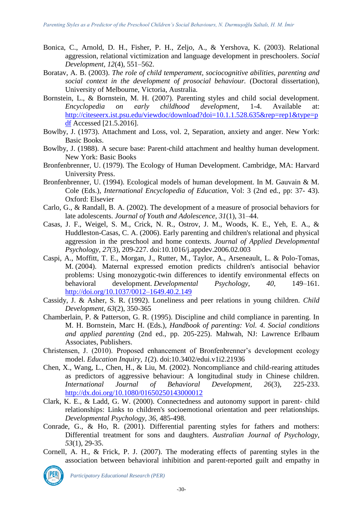- Bonica, C., Arnold, D. H., Fisher, P. H., Zeljo, A., & Yershova, K. (2003). Relational aggression, relational victimization and language development in preschoolers. *Social Development, 12*(4), 551–562.
- Boratav, A. B. (2003). *The role of child temperament, sociocognitive abilities, parenting and social context in the development of prosocial behaviour.* (Doctoral dissertation), University of Melbourne, Victoria, Australia.
- Bornstein, L., & Bornstein, M. H. (2007). Parenting styles and child social development. *Encyclopedia on early childhood development*, 1-4. Available at: [http://citeseerx.ist.psu.edu/viewdoc/download?doi=10.1.1.528.635&rep=rep1&type=p](http://citeseerx.ist.psu.edu/viewdoc/download?doi=10.1.1.528.635&rep=rep1&type=pdf) [df](http://citeseerx.ist.psu.edu/viewdoc/download?doi=10.1.1.528.635&rep=rep1&type=pdf) Accessed [21.5.2016].
- Bowlby, J. (1973). Attachment and Loss, vol. 2, Separation, anxiety and anger. New York: Basic Books.
- Bowlby, J. (1988). A secure base: Parent-child attachment and healthy human development. New York: Basic Books
- Bronfenbrenner, U. (1979). The Ecology of Human Development. Cambridge, MA: Harvard University Press.
- Bronfenbrenner, U. (1994). Ecological models of human development. In M. Gauvain & M. Cole (Eds.), *International Encyclopedia of Education*, Vol: 3 (2nd ed., pp: 37- 43). Oxford: Elsevier
- Carlo, G., & Randall, B. A. (2002). The development of a measure of prosocial behaviors for late adolescents. *Journal of Youth and Adolescence, 31*(1), 31–44.
- Casas, J. F., Weigel, S. M., Crick, N. R., Ostrov, J. M., Woods, K. E., Yeh, E. A., & Huddleston-Casas, C. A. (2006). Early parenting and children's relational and physical aggression in the preschool and home contexts. *Journal of Applied Developmental Psychology, 27*(3), 209-227. doi:10.1016/j.appdev.2006.02.003
- Caspi, A., Moffitt, T. E., Morgan, J., Rutter, M., Taylor, A., Arseneault, L. & Polo-Tomas, M. (2004). Maternal expressed emotion predicts children's antisocial behavior problems: Using monozygotic-twin differences to identify environmental effects on behavioral development. *Developmental Psychology*, *40,* 149–161. <http://doi.org/10.1037/0012–1649.40.2.149>
- Cassidy, J. & Asher, S. R. (1992). Loneliness and peer relations in young children. *Child Development, 63*(2), 350-365
- Chamberlain, P. & Patterson, G. R. (1995). Discipline and child compliance in parenting. In M. H. Bornstein, Marc H. (Eds.), *Handbook of parenting: Vol. 4. Social conditions and applied parenting* (2nd ed., pp. 205-225). Mahwah, NJ: Lawrence Erlbaum Associates, Publishers.
- Christensen, J. (2010). Proposed enhancement of Bronfenbrenner's development ecology model. *Education Inquiry, 1*(2). doi:10.3402/edui.v1i2.21936
- Chen, X., Wang, L., Chen, H., & Liu, M. (2002). Noncompliance and child-rearing attitudes as predictors of aggressive behaviour: A longitudinal study in Chinese children. *International Journal of Behavioral Development, 26*(3), 225-233. <http://dx.doi.org/10.1080/01650250143000012>
- Clark, K. E., & Ladd, G. W. (2000). Connectedness and autonomy support in parent- child relationships: Links to children's socioemotional orientation and peer relationships. *Developmental Psychology, 36,* 485-498.
- Conrade, G., & Ho, R. (2001). Differential parenting styles for fathers and mothers: Differential treatment for sons and daughters. *Australian Journal of Psychology, 53*(1), 29-35.
- Cornell, A. H., & Frick, P. J. (2007). The moderating effects of parenting styles in the association between behavioral inhibition and parent-reported guilt and empathy in

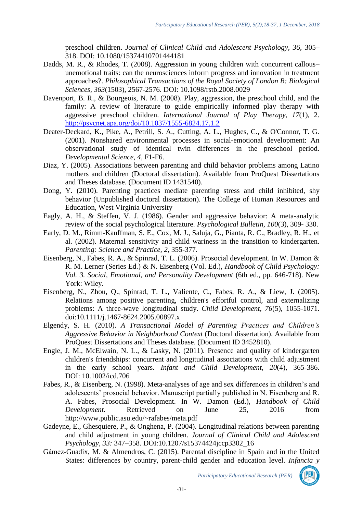preschool children. *Journal of Clinical Child and Adolescent Psychology, 36*, 305– 318. DOI: 10.1080/15374410701444181

- Dadds, M. R., & Rhodes, T. (2008). Aggression in young children with concurrent callous– unemotional traits: can the neurosciences inform progress and innovation in treatment approaches?. *Philosophical Transactions of the Royal Society of London B: Biological Sciences*, *363*(1503), 2567-2576. DOI: 10.1098/rstb.2008.0029
- Davenport, B. R., & Bourgeois, N. M. (2008). Play, aggression, the preschool child, and the family: A review of literature to guide empirically informed play therapy with aggressive preschool children. *International Journal of Play Therapy*, *17*(1), 2. <http://psycnet.apa.org/doi/10.1037/1555-6824.17.1.2>
- Deater-Deckard, K., Pike, A., Petrill, S. A., Cutting, A. L., Hughes, C., & O'Connor, T. G. (2001). Nonshared environmental processes in social-emotional development: An observational study of identical twin differences in the preschool period. *Developmental Science, 4,* F1-F6.
- Diaz, Y. (2005). Associations between parenting and child behavior problems among Latino mothers and children (Doctoral dissertation). Available from ProQuest Dissertations and Theses database. (Document ID 1431540).
- Dong, Y. (2010). Parenting practices mediate parenting stress and child inhibited, shy behavior (Unpublished doctoral dissertation). The College of Human Resources and Education, West Virginia University
- Eagly, A. H., & Steffen, V. J. (1986). Gender and aggressive behavior: A meta-analytic review of the social psychological literature. *Psychological Bulletin, 100*(3), 309- 330.
- Early, D. M., Rimm-Kauffman, S. E., Cox, M. J., Saluja, G., Pianta, R. C., Bradley, R. H., et al. (2002). Maternal sensitivity and child wariness in the transition to kindergarten. *Parenting: Science and Practice, 2*, 355-377.
- Eisenberg, N., Fabes, R. A., & Spinrad, T. L. (2006). Prosocial development. In W. Damon & R. M. Lerner (Series Ed.) & N. Eisenberg (Vol. Ed.), *Handbook of Child Psychology: Vol. 3. Social, Emotional, and Personality Development* (6th ed., pp. 646-718). New York: Wiley.
- Eisenberg, N., Zhou, Q., Spinrad, T. L., Valiente, C., Fabes, R. A., & Liew, J. (2005). Relations among positive parenting, children's effortful control, and externalizing problems: A three-wave longitudinal study. *Child Development, 76*(5), 1055-1071. doi:10.1111/j.1467-8624.2005.00897.x
- Elgendy, S. H. (2010). *A Transactional Model of Parenting Practices and Children's Aggressive Behavior in Neighborhood Context* (Doctoral dissertation). Available from ProQuest Dissertations and Theses database. (Document ID 3452810).
- Engle, J. M., McElwain, N. L., & Lasky, N. (2011). Presence and quality of kindergarten children's friendships: concurrent and longitudinal associations with child adjustment in the early school years. *Infant and Child Development*, *20*(4), 365-386. DOI: 10.1002/icd.706
- Fabes, R., & Eisenberg, N. (1998). Meta-analyses of age and sex differences in children's and adolescents' prosocial behavior. Manuscript partially published in N. Eisenberg and R. A. Fabes, Prosocial Development. In W. Damon (Ed.), *Handbook of Child Development.* Retrieved on June 25, 2016 from http://www.public.asu.edu/~rafabes/meta.pdf
- Gadeyne, E., Ghesquiere, P., & Onghena, P. (2004). Longitudinal relations between parenting and child adjustment in young children. *Journal of Clinical Child and Adolescent Psychology, 33:* 347–358. DOI:10.1207/s15374424jccp3302\_16
- Gámez-Guadix, M. & Almendros, C. (2015). Parental discipline in Spain and in the United States: differences by country, parent-child gender and education level. *Infancia y*

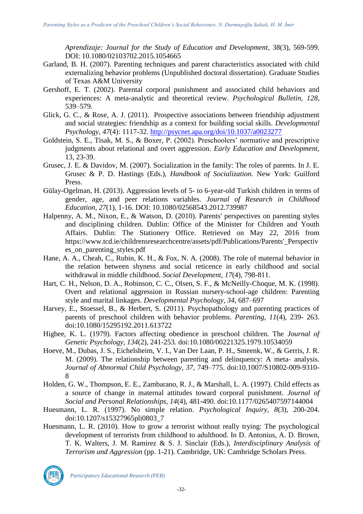*Aprendizaje: Journal for the Study of Education and Development*, 38(3), 569-599. DOI: 10.1080/02103702.2015.1054665

- Garland, B. H. (2007). Parenting techniques and parent characteristics associated with child externalizing behavior problems (Unpublished doctoral dissertation). Graduate Studies of Texas A&M University
- Gershoff, E. T. (2002). Parental corporal punishment and associated child behaviors and experiences: A meta-analytic and theoretical review. *Psychological Bulletin, 128*, 539–579.
- Glick, G. C., & Rose, A. J. (2011). Prospective associations between friendship adjustment and social strategies: friendship as a context for building social skills. *Developmental Psychology, 47*(4): 1117-32.<http://psycnet.apa.org/doi/10.1037/a0023277>
- Goldstein, S. E., Tisak, M. S., & Boxer, P. (2002). Preschoolers' normative and prescriptive judgments about relational and overt aggression. *Early Education and Development,* 13, 23-39.
- Grusec, J. E. & Davidov, M. (2007). Socialization in the family: The roles of parents. In J. E. Grusec & P. D. Hastings (Eds.), *Handbook of Socialization.* New York: Guilford Press.
- Gülay-Ogelman, H. (2013). Aggression levels of 5- to 6-year-old Turkish children in terms of gender, age, and peer relations variables. *Journal of Research in Childhood Education, 27*(1), 1-16. DOI: 10.1080/02568543.2012.739987
- Halpenny, A. M., Nixon, E., & Watson, D. (2010). Parents' perspectives on parenting styles and disciplining children. Dublin: Office of the Minister for Children and Youth Affairs. Dublin: The Stationery Office. Retrieved on May 22, 2016 from https://www.tcd.ie/childrensresearchcentre/assets/pdf/Publications/Parents'\_Perspectiv es\_on\_parenting\_styles.pdf
- Hane, A. A., Cheah, C., Rubin, K. H., & Fox, N. A. (2008). The role of maternal behavior in the relation between shyness and social reticence in early childhood and social withdrawal in middle childhood. *Social Development, 17*(4), 798-811.
- Hart, C. H., Nelson, D. A., Robinson, C. C., Olsen, S. F., & McNeilly-Choque, M. K. (1998). Overt and relational aggression in Russian nursery-school-age children: Parenting style and marital linkages. *Developmental Psychology, 34*, 687–697
- Harvey, E., Stoessel, B., & Herbert, S. (2011). Psychopathology and parenting practices of parents of preschool children with behavior problems. *Parenting, 11*(4), 239- 263. doi:10.1080/15295192.2011.613722
- Higbee, K. L. (1979). Factors affecting obedience in preschool children. The *Journal of Genetic Psychology, 134*(2), 241-253. doi:10.1080/00221325.1979.10534059
- Hoeve, M., Dubas, J. S., Eichelsheim, V. I., Van Der Laan, P. H., Smeenk, W., & Gerris, J. R. M. (2009). The relationship between parenting and delinquency: A meta- analysis. *Journal of Abnormal Child Psychology, 37,* 749–775. doi:10.1007/S10802-009-9310- 8
- Holden, G. W., Thompson, E. E., Zambarano, R. J., & Marshall, L. A. (1997). Child effects as a source of change in maternal attitudes toward corporal punishment. *Journal of Social and Personal Relationships, 14*(4), 481-490. doi:10.1177/0265407597144004
- Huesmann, L. R. (1997). No simple relation. *Psychological Inquiry, 8*(3), 200-204. doi:10.1207/s15327965pli0803\_7
- Huesmann, L. R. (2010). How to grow a terrorist without really trying: The psychological development of terrorists from childhood to adulthood. In D. Antonius, A. D. Brown, T. K. Walters, J. M. Ramirez & S. J. Sinclair (Eds.), *Interdisciplinary Analysis of Terrorism and Aggression* (pp. 1-21). Cambridge, UK: Cambridge Scholars Press.

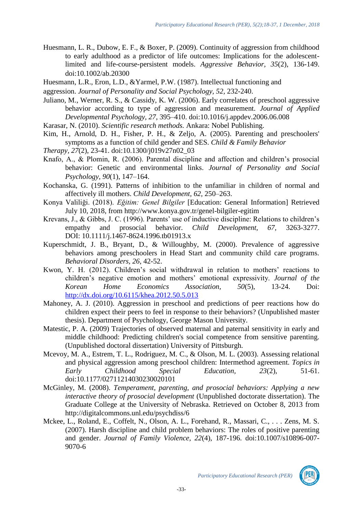Huesmann, L. R., Dubow, E. F., & Boxer, P. (2009). Continuity of aggression from childhood to early adulthood as a predictor of life outcomes: Implications for the adolescentlimited and life-course-persistent models. *Aggressive Behavior, 35*(2), 136-149. doi:10.1002/ab.20300

Huesmann, L.R., Eron, L.D., &Yarmel, P.W. (1987). Intellectual functioning and

aggression. *Journal of Personality and Social Psychology, 52,* 232-240.

Juliano, M., Werner, R. S., & Cassidy, K. W. (2006). Early correlates of preschool aggressive behavior according to type of aggression and measurement. *Journal of Applied Developmental Psychology, 27*, 395–410. doi:10.1016/j.appdev.2006.06.008

Karasar, N. (2010). *Scientific research methods.* Ankara: Nobel Publishing.

Kim, H., Arnold, D. H., Fisher, P. H., & Zeljo, A. (2005). Parenting and preschoolers' symptoms as a function of child gender and SES. *Child & Family Behavior* 

*Therapy, 27*(2), 23-41. doi:10.1300/j019v27n02\_03

- Knafo, A., & Plomin, R. (2006). Parental discipline and affection and children's prosocial behavior: Genetic and environmental links. *Journal of Personality and Social Psychology, 90*(1), 147–164.
- Kochanska, G. (1991). Patterns of inhibition to the unfamiliar in children of normal and affectively ill mothers. *Child Development, 62,* 250–263.
- Konya Valiliği. (2018). *Eğitim: Genel Bilgiler* [Education: General Information] Retrieved July 10, 2018, from http://www.konya.gov.tr/genel-bilgiler-egitim
- Krevans, J., & Gibbs, J. C. (1996). Parents' use of inductive discipline: Relations to children's empathy and prosocial behavior. *Child Development, 67,* 3263-3277. DOI: 10.1111/j.1467-8624.1996.tb01913.x
- Kuperschmidt, J. B., Bryant, D., & Willoughby, M. (2000). Prevalence of aggressive behaviors among preschoolers in Head Start and community child care programs. *Behavioral Disorders, 26*, 42-52.
- Kwon, Y. H. (2012). Children's social withdrawal in relation to mothers' reactions to children's negative emotion and mothers' emotional expressivity. *Journal of the Korean Home Economics Association, 50*(5), 13-24. Doi: <http://dx.doi.org/10.6115/khea.2012.50.5.013>
- Mahoney, A. J. (2010). Aggression in preschool and predictions of peer reactions how do children expect their peers to feel in response to their behaviors? (Unpublished master thesis). Department of Psychology, George Mason University.
- Matestic, P. A. (2009) Trajectories of observed maternal and paternal sensitivity in early and middle childhood: Predicting children's social competence from sensitive parenting. (Unpublished doctoral dissertation) University of Pittsburgh.
- Mcevoy, M. A., Estrem, T. L., Rodriguez, M. C., & Olson, M. L. (2003). Assessing relational and physical aggression among preschool children: Intermethod agreement. *Topics in Early Childhood Special Education, 23*(2), 51-61. doi:10.1177/02711214030230020101
- McGinley, M. (2008). *Temperament, parenting, and prosocial behaviors: Applying a new interactive theory of prosocial development* (Unpublished doctorate dissertation). The Graduate College at the University of Nebraska. Retrieved on October 8, 2013 from http://digitalcommons.unl.edu/psychdiss/6
- Mckee, L., Roland, E., Coffelt, N., Olson, A. L., Forehand, R., Massari, C., . . . Zens, M. S. (2007). Harsh discipline and child problem behaviors: The roles of positive parenting and gender. *Journal of Family Violence, 22*(4), 187-196. doi:10.1007/s10896-007- 9070-6

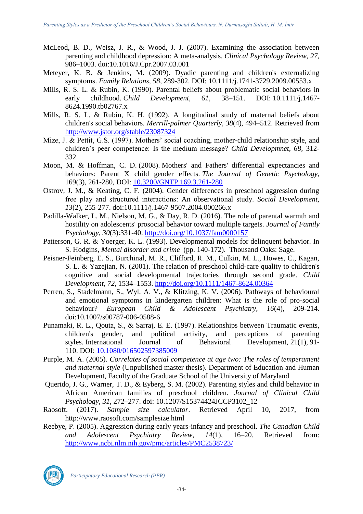- McLeod, B. D., Weisz, J. R., & Wood, J. J. (2007). Examining the association between parenting and childhood depression: A meta-analysis. *Clinical Psychology Review, 27,* 986–1003. doi:10.1016/J.Cpr.2007.03.001
- Meteyer, K. B. & Jenkins, M. (2009). Dyadic parenting and children's externalizing symptoms. *Family Relations, 58,* 289-302. DOI: 10.1111/j.1741-3729.2009.00553.x
- Mills, R. S. L. & Rubin, K. (1990). Parental beliefs about problematic social behaviors in early childhood. *Child Development, 61*, 38–151. DOI: 10.1111/j.1467- 8624.1990.tb02767.x
- Mills, R. S. L. & Rubin, K. H. (1992). A longitudinal study of maternal beliefs about children's social behaviors. *Merrill-palmer Quarterly*, *38*(4), 494–512. Retrieved from <http://www.jstor.org/stable/23087324>
- Mize, J. & Pettit, G.S. (1997). Mothers' social coaching, mother-child relationship style, and children's peer competence: Is the medium message? *Child Developmnet, 68,* 312- 332.
- Moon, M. & Hoffman, C. D. (2008). Mothers' and Fathers' differential expectancies and behaviors: Parent X child gender effects. *The Journal of Genetic Psychology*, 169(3), 261-280, DOI: [10.3200/GNTP.169.3.261-280](https://doi.org/10.3200/GNTP.169.3.261-280)
- Ostrov, J. M., & Keating, C. F. (2004). Gender differences in preschool aggression during free play and structured ınteractions: An observational study. *Social Development, 13*(2), 255-277. doi:10.1111/j.1467-9507.2004.000266.x
- Padilla-Walker, L. M., Nielson, M. G., & Day, R. D. (2016). The role of parental warmth and hostility on adolescents' prosocial behavior toward multiple targets. *Journal of Family Psychology, 30*(3):331-40.<http://doi.org/10.1037/fam0000157>
- Patterson, G. R. & Yoerger, K. L. (1993). Developmental models for delinquent behavior. In S. Hodgins*, Mental disorder and crime* (pp. 140-172). Thousand Oaks: Sage.
- Peisner-Feinberg, E. S., Burchinal, M. R., Clifford, R. M., Culkin, M. L., Howes, C., Kagan, S. L. & Yazejian, N. (2001). The relation of preschool child-care quality to children's cognitive and social developmental trajectories through second grade. *Child Development, 72,* 1534–1553.<http://doi.org/10.1111/1467-8624.00364>
- Perren, S., Stadelmann, S., Wyl, A. V., & Klitzing, K. V. (2006). Pathways of behavioural and emotional symptoms in kindergarten children: What is the role of pro-social behaviour? *European Child & Adolescent Psychiatry, 16*(4), 209-214. doi:10.1007/s00787-006-0588-6
- Punamaki, R. L., Qouta, S., & Sarraj, E. E. (1997). Relationships between Traumatic events, children's gender, and political activity, and perceptions of parenting styles. International Journal of Behavioral Development, 21(1), 91- 110. DOI: [10.1080/016502597385009](https://doi.org/10.1080/016502597385009)
- Purple, M. A. (2005). *Correlates of social competence at age two: The roles of temperament and maternal style* (Unpublished master thesis). Department of Education and Human Development, Faculty of the Graduate School of the University of Maryland
- Querido, J. G., Warner, T. D., & Eyberg, S. M. (2002). Parenting styles and child behavior in African American families of preschool children. *Journal of Clinical Child Psychology, 31,* 272–277. doi: 10.1207/S15374424JCCP3102\_12
- Raosoft. (2017). *Sample size calculator*. Retrieved April 10, 2017, from http://www.raosoft.com/samplesize.html
- Reebye, P. (2005). Aggression during early years-infancy and preschool. *The Canadian Child and Adolescent Psychiatry Review*, *14*(1), 16–20. Retrieved from: <http://www.ncbi.nlm.nih.gov/pmc/articles/PMC2538723/>



*Participatory Educational Research (PER)*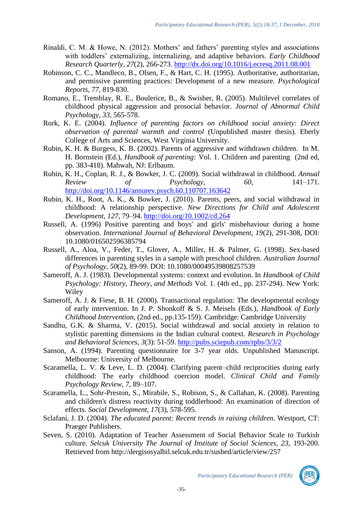- Rinaldi, C. M. & Howe, N. (2012). Mothers' and fathers' parenting styles and associations with toddlers' externalizing, internalizing, and adaptive behaviors. *Early Childhood Research Quarterly*, *27*(2), 266-273.<http://dx.doi.org/10.1016/j.ecresq.2011.08.001>
- Robinson, C. C., Mandleco, B., Olsen, F., & Hart, C. H. (1995). Authoritative, authoritarian, and permissive parenting practices: Development of a new measure. *Psychological Reports, 77,* 819-830.
- Romano, E., Tremblay, R. E., Boulerice, B., & Swisher, R. (2005). Multilevel correlates of childhood physical aggression and prosocial behavior. *Journal of Abnormal Child Psychology, 33*, 565-578.
- Rork, K. E. (2004). *Influence of parenting factors on childhood social anxiety: Direct observation of parental warmth and control* (Unpublished master thesis). Eberly College of Arts and Sciences, West Virginia University.
- Rubin, K. H. & Burgess, K. B. (2002). Parents of aggressive and withdrawn children. In M. H. Bornstein (Ed.), *Handbook of parenting:* Vol. 1. Children and parenting (2nd ed, pp. 383-418). Mahwah, NJ: Erlbaum.
- Rubin, K. H., Coplan, R. J., & Bowker, J. C. (2009). Social withdrawal in childhood. *Annual Review of Psychology, 60*, 141–171. <http://doi.org/10.1146/annurev.psych.60.110707.163642>
- Rubin, K. H., Root, A. K., & Bowker, J. (2010). Parents, peers, and social withdrawal in childhood: A relationship perspective. *New Directions for Child and Adolescent Development*, *127*, 79–94.<http://doi.org/10.1002/cd.264>
- Russell, A. (1996) Positive parenting and boys' and girls' misbehaviour during a home observation. *International Journal of Behavioral Development, 19*(2), 291-308, DOI: 10.1080/016502596385794
- Russell, A., Aloa, V., Feder, T., Glover, A., Miller, H. & Palmer, G. (1998). Sex-based differences in parenting styles in a sample with preschool children. *Australian Journal of Psychology, 50*(2), 89-99. DOI: 10.1080/00049539808257539
- Sameroff, A. J. (1983). Developmental systems: context and evolution. In *Handbook of Child Psychology: History, Theory, and Methods* Vol. 1. (4th ed., pp. 237-294). New York: **Wiley**
- Sameroff, A. J. & Fiese, B. H. (2000). Transactional regulation: The developmental ecology of early intervention. In J. P. Shonkoff & S. J. Meisels (Eds.), *Handbook of Early Childhood Intervention,* (2nd ed., pp.135-159). Cambridge: Cambridge University
- Sandhu, G.K. & Sharma, V. (2015). Social withdrawal and social anxiety in relation to stylistic parenting dimensions in the Indian cultural context. *Research in Psychology and Behavioral Sciences, 3*(3): 51-59.<http://pubs.sciepub.com/rpbs/3/3/2>
- Sanson, A. (1994). Parenting questionnaire for 3-7 year olds. Unpublished Manuscript. Melbourne: University of Melbourne.
- Scaramella, L. V. & Leve, L. D. (2004). Clarifying parent–child reciprocities during early childhood: The early childhood coercion model. *Clinical Child and Family Psychology Review, 7,* 89–107.
- Scaramella, L., Sohr-Preston, S., Mirabile, S., Robison, S., & Callahan, K. (2008). Parenting and children's distress reactivity during toddlerhood: An examination of direction of effects. *Social Development, 17*(3), 578-595.
- Sclafani, J. D. (2004). *The educated parent: Recent trends in raising children.* Westport, CT: Praeger Publishers.
- Seven, S. (2010). Adaptation of Teacher Assessment of Social Behavior Scale to Turkish culture. *Selcuk University The Journal of Institute of Social Sciences, 23,* 193-200. Retrieved from http://dergisosyalbil.selcuk.edu.tr/susbed/article/view/257

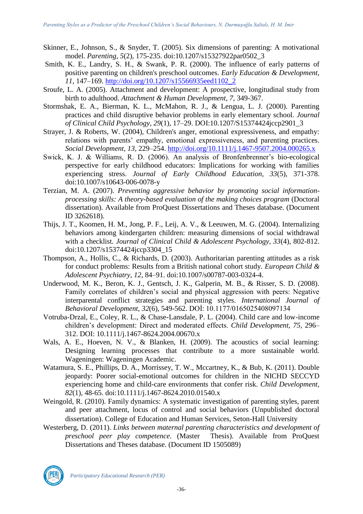- Skinner, E., Johnson, S., & Snyder, T. (2005). Six dimensions of parenting: A motivational model. *Parenting, 5*(2), 175-235. doi:10.1207/s15327922par0502\_3
- Smith, K. E., Landry, S. H., & Swank, P. R. (2000). The influence of early patterns of positive parenting on children's preschool outcomes. *Early Education & Development, 11*, 147–169. [http://doi.org/10.1207/s15566935eed1102\\_2](http://doi.org/10.1207/s15566935eed1102_2)
- Sroufe, L. A. (2005). Attachment and development: A prospective, longitudinal study from birth to adulthood. *Attachment & Human Development, 7,* 349-367.
- Stormshak, E. A., Bierman, K. L., McMahon, R. J., & Lengua, L. J. (2000). Parenting practices and child disruptive behavior problems in early elementary school. *Journal of Clinical Child Psychology, 29*(1), 17–29. DOI:10.1207/S15374424jccp2901\_3
- Strayer, J. & Roberts, W. (2004), Children's anger, emotional expressiveness, and empathy: relations with parents' empathy, emotional expressiveness, and parenting practices. *Social Development, 13,* 229–254.<http://doi.org/10.1111/j.1467-9507.2004.000265.x>
- Swick, K. J. & Williams, R. D. (2006). An analysis of Bronfenbrenner's bio-ecological perspective for early childhood educators: Implications for working with families experiencing stress. *Journal of Early Childhood Education, 33*(5), 371-378. doi:10.1007/s10643-006-0078-y
- Terzian, M. A. (2007). *Preventing aggressive behavior by promoting social informationprocessing skills: A theory-based evaluation of the making choices program* (Doctoral dissertation). Available from ProQuest Dissertations and Theses database. (Document ID 3262618).
- Thijs, J. T., Koomen, H. M., Jong, P. F., Leij, A. V., & Leeuwen, M. G. (2004). Internalizing behaviors among kindergarten children: measuring dimensions of social withdrawal with a checklist. *Journal of Clinical Child & Adolescent Psychology, 33*(4), 802-812. doi:10.1207/s15374424jccp3304\_15
- Thompson, A., Hollis, C., & Richards, D. (2003). Authoritarian parenting attitudes as a risk for conduct problems: Results from a British national cohort study. *European Child & Adolescent Psychiatry, 12,* 84–91. doi:10.1007/s00787-003-0324-4.
- Underwood, M. K., Beron, K. J., Gentsch, J. K., Galperin, M. B., & Risser, S. D. (2008). Family correlates of children's social and physical aggression with peers: Negative interparental conflict strategies and parenting styles. *International Journal of Behavioral Development, 32*(6), 549-562. DOİ: 10.1177/0165025408097134
- Votruba-Drzal, E., Coley, R. L., & Chase-Lansdale, P. L. (2004). Child care and low-income children's development: Direct and moderated effects. *Child Development, 75,* 296– 312. DOI: 10.1111/j.1467-8624.2004.00670.x
- Wals, A. E., Hoeven, N. V., & Blanken, H. (2009). The acoustics of social learning: Designing learning processes that contribute to a more sustainable world. Wageningen: Wageningen Academic.
- Watamura, S. E., Phillips, D. A., Morrissey, T. W., Mccartney, K., & Bub, K. (2011). Double jeopardy: Poorer social-emotional outcomes for children in the NICHD SECCYD experiencing home and child-care environments that confer risk. *Child Development, 82*(1), 48-65. doi:10.1111/j.1467-8624.2010.01540.x
- Weingold, R. (2010). Family dynamics: A systematic investigation of parenting styles, parent and peer attachment, locus of control and social behaviors (Unpublished doctoral dissertation). College of Education and Human Services, Seton-Hall University
- Westerberg, D. (2011). *Links between maternal parenting characteristics and development of preschool peer play competence*. (Master Thesis). Available from ProQuest Dissertations and Theses database. (Document ID 1505089)



*Participatory Educational Research (PER)*